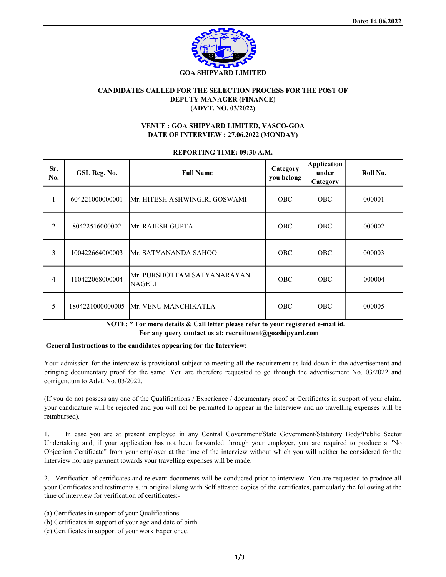

## CANDIDATES CALLED FOR THE SELECTION PROCESS FOR THE POST OF DEPUTY MANAGER (FINANCE) (ADVT. NO. 03/2022)

## VENUE : GOA SHIPYARD LIMITED, VASCO-GOA DATE OF INTERVIEW : 27.06.2022 (MONDAY)

REPORTING TIME: 09:30 A.M.

| Sr.<br>No.     | GSL Reg. No.    | <b>Full Name</b>                              | Category<br>you belong | <b>Application</b><br>under<br>Category | Roll No. |
|----------------|-----------------|-----------------------------------------------|------------------------|-----------------------------------------|----------|
| 1              | 604221000000001 | Mr. HITESH ASHWINGIRI GOSWAMI                 | <b>OBC</b>             | <b>OBC</b>                              | 000001   |
| $\overline{2}$ | 80422516000002  | Mr. RAJESH GUPTA                              | <b>OBC</b>             | <b>OBC</b>                              | 000002   |
| $\overline{3}$ | 100422664000003 | Mr. SATYANANDA SAHOO                          | <b>OBC</b>             | <b>OBC</b>                              | 000003   |
| 4              | 110422068000004 | IMr. PURSHOTTAM SATYANARAYAN<br><b>NAGELI</b> | <b>OBC</b>             | <b>OBC</b>                              | 000004   |
| 5              |                 | 1804221000000005 Mr. VENU MANCHIKATLA         | <b>OBC</b>             | <b>OBC</b>                              | 000005   |

 NOTE: \* For more details & Call letter please refer to your registered e-mail id. For any query contact us at: recruitment@goashipyard.com

## General Instructions to the candidates appearing for the Interview:

Your admission for the interview is provisional subject to meeting all the requirement as laid down in the advertisement and bringing documentary proof for the same. You are therefore requested to go through the advertisement No. 03/2022 and corrigendum to Advt. No. 03/2022.

(If you do not possess any one of the Qualifications / Experience / documentary proof or Certificates in support of your claim, your candidature will be rejected and you will not be permitted to appear in the Interview and no travelling expenses will be reimbursed).

1. In case you are at present employed in any Central Government/State Government/Statutory Body/Public Sector Undertaking and, if your application has not been forwarded through your employer, you are required to produce a "No Objection Certificate" from your employer at the time of the interview without which you will neither be considered for the interview nor any payment towards your travelling expenses will be made.

2. Verification of certificates and relevant documents will be conducted prior to interview. You are requested to produce all your Certificates and testimonials, in original along with Self attested copies of the certificates, particularly the following at the time of interview for verification of certificates:-

- (a) Certificates in support of your Qualifications.
- (b) Certificates in support of your age and date of birth.
- (c) Certificates in support of your work Experience.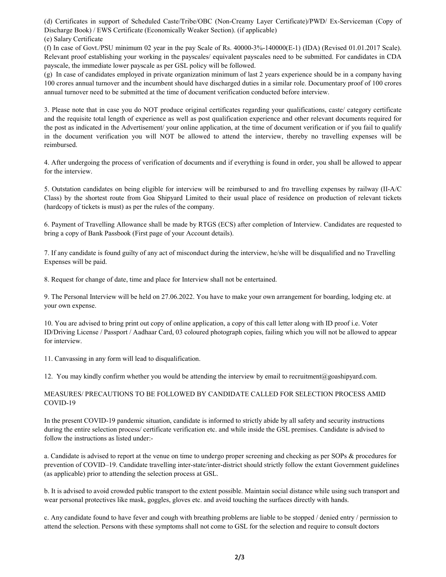(d) Certificates in support of Scheduled Caste/Tribe/OBC (Non-Creamy Layer Certificate)/PWD/ Ex-Serviceman (Copy of Discharge Book) / EWS Certificate (Economically Weaker Section). (if applicable) (e) Salary Certificate

(f) In case of Govt./PSU minimum 02 year in the pay Scale of Rs. 40000-3%-140000(E-1) (IDA) (Revised 01.01.2017 Scale). Relevant proof establishing your working in the payscales/ equivalent payscales need to be submitted. For candidates in CDA payscale, the immediate lower payscale as per GSL policy will be followed.

(g) In case of candidates employed in private organization minimum of last 2 years experience should be in a company having 100 crores annual turnover and the incumbent should have discharged duties in a similar role. Documentary proof of 100 crores annual turnover need to be submitted at the time of document verification conducted before interview.

3. Please note that in case you do NOT produce original certificates regarding your qualifications, caste/ category certificate and the requisite total length of experience as well as post qualification experience and other relevant documents required for the post as indicated in the Advertisement/ your online application, at the time of document verification or if you fail to qualify in the document verification you will NOT be allowed to attend the interview, thereby no travelling expenses will be reimbursed.

4. After undergoing the process of verification of documents and if everything is found in order, you shall be allowed to appear for the interview.

5. Outstation candidates on being eligible for interview will be reimbursed to and fro travelling expenses by railway (II-A/C Class) by the shortest route from Goa Shipyard Limited to their usual place of residence on production of relevant tickets (hardcopy of tickets is must) as per the rules of the company.

6. Payment of Travelling Allowance shall be made by RTGS (ECS) after completion of Interview. Candidates are requested to bring a copy of Bank Passbook (First page of your Account details).

7. If any candidate is found guilty of any act of misconduct during the interview, he/she will be disqualified and no Travelling Expenses will be paid.

8. Request for change of date, time and place for Interview shall not be entertained.

9. The Personal Interview will be held on 27.06.2022. You have to make your own arrangement for boarding, lodging etc. at your own expense.

10. You are advised to bring print out copy of online application, a copy of this call letter along with ID proof i.e. Voter ID/Driving License / Passport / Aadhaar Card, 03 coloured photograph copies, failing which you will not be allowed to appear for interview.

11. Canvassing in any form will lead to disqualification.

12. You may kindly confirm whether you would be attending the interview by email to recruitment@goashipyard.com.

## MEASURES/ PRECAUTIONS TO BE FOLLOWED BY CANDIDATE CALLED FOR SELECTION PROCESS AMID COVID-19

In the present COVID-19 pandemic situation, candidate is informed to strictly abide by all safety and security instructions during the entire selection process/ certificate verification etc. and while inside the GSL premises. Candidate is advised to follow the instructions as listed under:-

a. Candidate is advised to report at the venue on time to undergo proper screening and checking as per SOPs & procedures for prevention of COVID–19. Candidate travelling inter-state/inter-district should strictly follow the extant Government guidelines (as applicable) prior to attending the selection process at GSL.

b. It is advised to avoid crowded public transport to the extent possible. Maintain social distance while using such transport and wear personal protectives like mask, goggles, gloves etc. and avoid touching the surfaces directly with hands.

c. Any candidate found to have fever and cough with breathing problems are liable to be stopped / denied entry / permission to attend the selection. Persons with these symptoms shall not come to GSL for the selection and require to consult doctors